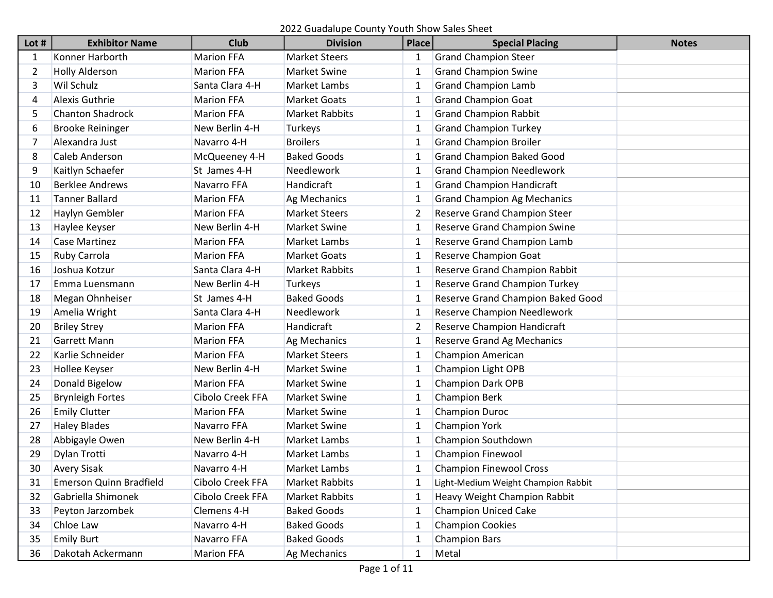| Lot #          | <b>Exhibitor Name</b>          | <b>Club</b>       | <b>Division</b>       | <b>Place</b> | <b>Special Placing</b>               | <b>Notes</b> |
|----------------|--------------------------------|-------------------|-----------------------|--------------|--------------------------------------|--------------|
| 1              | Konner Harborth                | <b>Marion FFA</b> | <b>Market Steers</b>  | 1            | <b>Grand Champion Steer</b>          |              |
| $\overline{2}$ | <b>Holly Alderson</b>          | <b>Marion FFA</b> | <b>Market Swine</b>   | 1            | <b>Grand Champion Swine</b>          |              |
| 3              | Wil Schulz                     | Santa Clara 4-H   | Market Lambs          | 1            | <b>Grand Champion Lamb</b>           |              |
| 4              | <b>Alexis Guthrie</b>          | <b>Marion FFA</b> | <b>Market Goats</b>   |              | <b>Grand Champion Goat</b>           |              |
| 5              | <b>Chanton Shadrock</b>        | <b>Marion FFA</b> | <b>Market Rabbits</b> | 1            | <b>Grand Champion Rabbit</b>         |              |
| 6              | <b>Brooke Reininger</b>        | New Berlin 4-H    | Turkeys               |              | <b>Grand Champion Turkey</b>         |              |
| 7              | Alexandra Just                 | Navarro 4-H       | <b>Broilers</b>       | 1            | <b>Grand Champion Broiler</b>        |              |
| 8              | <b>Caleb Anderson</b>          | McQueeney 4-H     | <b>Baked Goods</b>    | 1            | <b>Grand Champion Baked Good</b>     |              |
| 9              | Kaitlyn Schaefer               | St James 4-H      | Needlework            |              | <b>Grand Champion Needlework</b>     |              |
| 10             | <b>Berklee Andrews</b>         | Navarro FFA       | Handicraft            | 1            | <b>Grand Champion Handicraft</b>     |              |
| 11             | <b>Tanner Ballard</b>          | <b>Marion FFA</b> | Ag Mechanics          |              | <b>Grand Champion Ag Mechanics</b>   |              |
| 12             | Haylyn Gembler                 | <b>Marion FFA</b> | <b>Market Steers</b>  | 2            | <b>Reserve Grand Champion Steer</b>  |              |
| 13             | Haylee Keyser                  | New Berlin 4-H    | <b>Market Swine</b>   | 1            | Reserve Grand Champion Swine         |              |
| 14             | <b>Case Martinez</b>           | <b>Marion FFA</b> | Market Lambs          | 1            | Reserve Grand Champion Lamb          |              |
| 15             | Ruby Carrola                   | <b>Marion FFA</b> | <b>Market Goats</b>   | 1            | <b>Reserve Champion Goat</b>         |              |
| 16             | Joshua Kotzur                  | Santa Clara 4-H   | <b>Market Rabbits</b> | 1            | Reserve Grand Champion Rabbit        |              |
| 17             | Emma Luensmann                 | New Berlin 4-H    | Turkeys               | 1            | <b>Reserve Grand Champion Turkey</b> |              |
| 18             | Megan Ohnheiser                | St James 4-H      | <b>Baked Goods</b>    |              | Reserve Grand Champion Baked Good    |              |
| 19             | Amelia Wright                  | Santa Clara 4-H   | Needlework            |              | <b>Reserve Champion Needlework</b>   |              |
| 20             | <b>Briley Strey</b>            | <b>Marion FFA</b> | Handicraft            | 2            | Reserve Champion Handicraft          |              |
| 21             | <b>Garrett Mann</b>            | <b>Marion FFA</b> | Ag Mechanics          |              | Reserve Grand Ag Mechanics           |              |
| 22             | Karlie Schneider               | <b>Marion FFA</b> | <b>Market Steers</b>  | 1            | <b>Champion American</b>             |              |
| 23             | Hollee Keyser                  | New Berlin 4-H    | <b>Market Swine</b>   |              | Champion Light OPB                   |              |
| 24             | Donald Bigelow                 | <b>Marion FFA</b> | <b>Market Swine</b>   |              | <b>Champion Dark OPB</b>             |              |
| 25             | <b>Brynleigh Fortes</b>        | Cibolo Creek FFA  | <b>Market Swine</b>   |              | <b>Champion Berk</b>                 |              |
| 26             | <b>Emily Clutter</b>           | <b>Marion FFA</b> | <b>Market Swine</b>   | 1            | <b>Champion Duroc</b>                |              |
| 27             | <b>Haley Blades</b>            | Navarro FFA       | <b>Market Swine</b>   | 1            | <b>Champion York</b>                 |              |
| 28             | Abbigayle Owen                 | New Berlin 4-H    | Market Lambs          | 1            | Champion Southdown                   |              |
| 29             | Dylan Trotti                   | Navarro 4-H       | <b>Market Lambs</b>   | 1            | <b>Champion Finewool</b>             |              |
| 30             | <b>Avery Sisak</b>             | Navarro 4-H       | Market Lambs          |              | <b>Champion Finewool Cross</b>       |              |
| 31             | <b>Emerson Quinn Bradfield</b> | Cibolo Creek FFA  | <b>Market Rabbits</b> |              | Light-Medium Weight Champion Rabbit  |              |
| 32             | Gabriella Shimonek             | Cibolo Creek FFA  | <b>Market Rabbits</b> | 1            | <b>Heavy Weight Champion Rabbit</b>  |              |
| 33             | Peyton Jarzombek               | Clemens 4-H       | <b>Baked Goods</b>    | 1            | <b>Champion Uniced Cake</b>          |              |
| 34             | Chloe Law                      | Navarro 4-H       | <b>Baked Goods</b>    | 1            | <b>Champion Cookies</b>              |              |
| 35             | <b>Emily Burt</b>              | Navarro FFA       | <b>Baked Goods</b>    |              | <b>Champion Bars</b>                 |              |
| 36             | Dakotah Ackermann              | <b>Marion FFA</b> | Ag Mechanics          | 1            | Metal                                |              |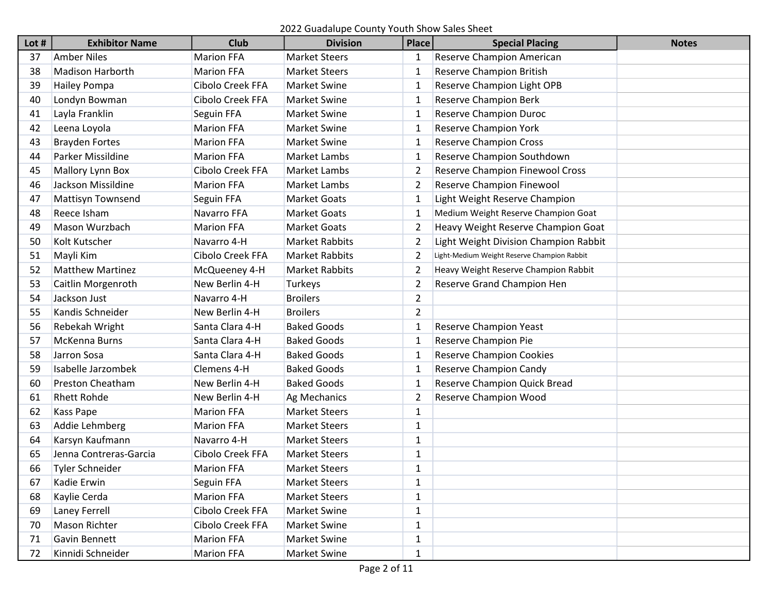| Lot # | <b>Exhibitor Name</b>    | <b>Club</b>       | <b>Division</b>       | <b>Place</b>   | <b>Special Placing</b>                      | <b>Notes</b> |
|-------|--------------------------|-------------------|-----------------------|----------------|---------------------------------------------|--------------|
| 37    | <b>Amber Niles</b>       | <b>Marion FFA</b> | <b>Market Steers</b>  | 1              | Reserve Champion American                   |              |
| 38    | <b>Madison Harborth</b>  | <b>Marion FFA</b> | <b>Market Steers</b>  | 1              | Reserve Champion British                    |              |
| 39    | Hailey Pompa             | Cibolo Creek FFA  | <b>Market Swine</b>   | 1              | Reserve Champion Light OPB                  |              |
| 40    | Londyn Bowman            | Cibolo Creek FFA  | <b>Market Swine</b>   | 1              | <b>Reserve Champion Berk</b>                |              |
| 41    | Layla Franklin           | Seguin FFA        | <b>Market Swine</b>   | 1              | <b>Reserve Champion Duroc</b>               |              |
| 42    | Leena Loyola             | <b>Marion FFA</b> | <b>Market Swine</b>   |                | <b>Reserve Champion York</b>                |              |
| 43    | <b>Brayden Fortes</b>    | <b>Marion FFA</b> | <b>Market Swine</b>   |                | <b>Reserve Champion Cross</b>               |              |
| 44    | Parker Missildine        | <b>Marion FFA</b> | Market Lambs          | 1              | Reserve Champion Southdown                  |              |
| 45    | Mallory Lynn Box         | Cibolo Creek FFA  | Market Lambs          | 2              | Reserve Champion Finewool Cross             |              |
| 46    | Jackson Missildine       | <b>Marion FFA</b> | Market Lambs          | 2              | Reserve Champion Finewool                   |              |
| 47    | <b>Mattisyn Townsend</b> | Seguin FFA        | <b>Market Goats</b>   | 1              | Light Weight Reserve Champion               |              |
| 48    | Reece Isham              | Navarro FFA       | <b>Market Goats</b>   | 1              | Medium Weight Reserve Champion Goat         |              |
| 49    | Mason Wurzbach           | <b>Marion FFA</b> | <b>Market Goats</b>   |                | Heavy Weight Reserve Champion Goat          |              |
| 50    | Kolt Kutscher            | Navarro 4-H       | <b>Market Rabbits</b> | 2              | Light Weight Division Champion Rabbit       |              |
| 51    | Mayli Kim                | Cibolo Creek FFA  | <b>Market Rabbits</b> | 2              | Light-Medium Weight Reserve Champion Rabbit |              |
| 52    | <b>Matthew Martinez</b>  | McQueeney 4-H     | <b>Market Rabbits</b> | 2              | Heavy Weight Reserve Champion Rabbit        |              |
| 53    | Caitlin Morgenroth       | New Berlin 4-H    | Turkeys               | 2              | Reserve Grand Champion Hen                  |              |
| 54    | Jackson Just             | Navarro 4-H       | <b>Broilers</b>       | $\overline{2}$ |                                             |              |
| 55    | Kandis Schneider         | New Berlin 4-H    | <b>Broilers</b>       | $\overline{2}$ |                                             |              |
| 56    | Rebekah Wright           | Santa Clara 4-H   | <b>Baked Goods</b>    | 1              | <b>Reserve Champion Yeast</b>               |              |
| 57    | McKenna Burns            | Santa Clara 4-H   | <b>Baked Goods</b>    | 1              | Reserve Champion Pie                        |              |
| 58    | Jarron Sosa              | Santa Clara 4-H   | <b>Baked Goods</b>    | 1              | <b>Reserve Champion Cookies</b>             |              |
| 59    | Isabelle Jarzombek       | Clemens 4-H       | <b>Baked Goods</b>    | 1              | <b>Reserve Champion Candy</b>               |              |
| 60    | <b>Preston Cheatham</b>  | New Berlin 4-H    | <b>Baked Goods</b>    |                | Reserve Champion Quick Bread                |              |
| 61    | <b>Rhett Rohde</b>       | New Berlin 4-H    | Ag Mechanics          | 2              | Reserve Champion Wood                       |              |
| 62    | Kass Pape                | <b>Marion FFA</b> | <b>Market Steers</b>  | 1              |                                             |              |
| 63    | Addie Lehmberg           | <b>Marion FFA</b> | <b>Market Steers</b>  | $\mathbf{1}$   |                                             |              |
| 64    | Karsyn Kaufmann          | Navarro 4-H       | <b>Market Steers</b>  | 1              |                                             |              |
| 65    | Jenna Contreras-Garcia   | Cibolo Creek FFA  | <b>Market Steers</b>  | $\mathbf{1}$   |                                             |              |
| 66    | <b>Tyler Schneider</b>   | <b>Marion FFA</b> | <b>Market Steers</b>  | 1              |                                             |              |
| 67    | Kadie Erwin              | Seguin FFA        | <b>Market Steers</b>  | 1              |                                             |              |
| 68    | Kaylie Cerda             | <b>Marion FFA</b> | <b>Market Steers</b>  | $\mathbf{1}$   |                                             |              |
| 69    | Laney Ferrell            | Cibolo Creek FFA  | <b>Market Swine</b>   | $\mathbf{1}$   |                                             |              |
| 70    | Mason Richter            | Cibolo Creek FFA  | <b>Market Swine</b>   | $\mathbf{1}$   |                                             |              |
| 71    | Gavin Bennett            | <b>Marion FFA</b> | Market Swine          | $\mathbf{1}$   |                                             |              |
| 72    | Kinnidi Schneider        | <b>Marion FFA</b> | Market Swine          | $\mathbf{1}$   |                                             |              |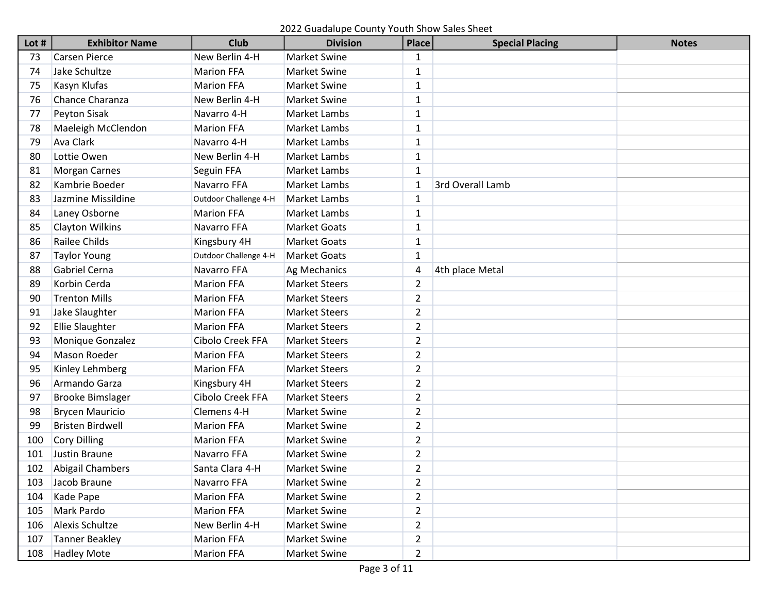| Lot # | <b>Exhibitor Name</b>   | <b>Club</b>           | <b>Division</b>      | <b>Place</b>   | <b>Special Placing</b> | <b>Notes</b> |
|-------|-------------------------|-----------------------|----------------------|----------------|------------------------|--------------|
| 73    | <b>Carsen Pierce</b>    | New Berlin 4-H        | <b>Market Swine</b>  | 1              |                        |              |
| 74    | Jake Schultze           | <b>Marion FFA</b>     | Market Swine         | 1              |                        |              |
| 75    | Kasyn Klufas            | <b>Marion FFA</b>     | Market Swine         | $\mathbf{1}$   |                        |              |
| 76    | Chance Charanza         | New Berlin 4-H        | <b>Market Swine</b>  | $\mathbf{1}$   |                        |              |
| 77    | Peyton Sisak            | Navarro 4-H           | Market Lambs         | 1              |                        |              |
| 78    | Maeleigh McClendon      | <b>Marion FFA</b>     | Market Lambs         | 1              |                        |              |
| 79    | Ava Clark               | Navarro 4-H           | Market Lambs         | 1              |                        |              |
| 80    | Lottie Owen             | New Berlin 4-H        | Market Lambs         | $\mathbf{1}$   |                        |              |
| 81    | <b>Morgan Carnes</b>    | Seguin FFA            | Market Lambs         | 1              |                        |              |
| 82    | Kambrie Boeder          | Navarro FFA           | Market Lambs         | $\mathbf 1$    | 3rd Overall Lamb       |              |
| 83    | Jazmine Missildine      | Outdoor Challenge 4-H | Market Lambs         | 1              |                        |              |
| 84    | Laney Osborne           | <b>Marion FFA</b>     | Market Lambs         | 1              |                        |              |
| 85    | <b>Clayton Wilkins</b>  | Navarro FFA           | <b>Market Goats</b>  | 1              |                        |              |
| 86    | Railee Childs           | Kingsbury 4H          | <b>Market Goats</b>  | 1              |                        |              |
| 87    | <b>Taylor Young</b>     | Outdoor Challenge 4-H | <b>Market Goats</b>  | 1              |                        |              |
| 88    | Gabriel Cerna           | Navarro FFA           | Ag Mechanics         | 4              | 4th place Metal        |              |
| 89    | Korbin Cerda            | <b>Marion FFA</b>     | <b>Market Steers</b> | 2              |                        |              |
| 90    | <b>Trenton Mills</b>    | <b>Marion FFA</b>     | <b>Market Steers</b> | 2              |                        |              |
| 91    | Jake Slaughter          | <b>Marion FFA</b>     | <b>Market Steers</b> | $\overline{2}$ |                        |              |
| 92    | <b>Ellie Slaughter</b>  | <b>Marion FFA</b>     | <b>Market Steers</b> | $\overline{2}$ |                        |              |
| 93    | Monique Gonzalez        | Cibolo Creek FFA      | <b>Market Steers</b> | $\overline{2}$ |                        |              |
| 94    | Mason Roeder            | <b>Marion FFA</b>     | <b>Market Steers</b> | $\overline{2}$ |                        |              |
| 95    | Kinley Lehmberg         | <b>Marion FFA</b>     | <b>Market Steers</b> | 2              |                        |              |
| 96    | Armando Garza           | Kingsbury 4H          | <b>Market Steers</b> | 2              |                        |              |
| 97    | <b>Brooke Bimslager</b> | Cibolo Creek FFA      | <b>Market Steers</b> | $\overline{2}$ |                        |              |
| 98    | <b>Brycen Mauricio</b>  | Clemens 4-H           | Market Swine         | $\overline{2}$ |                        |              |
| 99    | <b>Bristen Birdwell</b> | <b>Marion FFA</b>     | Market Swine         | $\overline{2}$ |                        |              |
| 100   | <b>Cory Dilling</b>     | <b>Marion FFA</b>     | <b>Market Swine</b>  | $\overline{2}$ |                        |              |
| 101   | Justin Braune           | Navarro FFA           | Market Swine         | 2              |                        |              |
| 102   | <b>Abigail Chambers</b> | Santa Clara 4-H       | <b>Market Swine</b>  | $\overline{2}$ |                        |              |
| 103   | Jacob Braune            | Navarro FFA           | Market Swine         | $\overline{2}$ |                        |              |
| 104   | Kade Pape               | <b>Marion FFA</b>     | Market Swine         | $\overline{2}$ |                        |              |
| 105   | Mark Pardo              | <b>Marion FFA</b>     | Market Swine         | $\overline{2}$ |                        |              |
| 106   | Alexis Schultze         | New Berlin 4-H        | Market Swine         | $\overline{2}$ |                        |              |
| 107   | <b>Tanner Beakley</b>   | <b>Marion FFA</b>     | Market Swine         | 2              |                        |              |
| 108   | <b>Hadley Mote</b>      | Marion FFA            | Market Swine         | $\overline{2}$ |                        |              |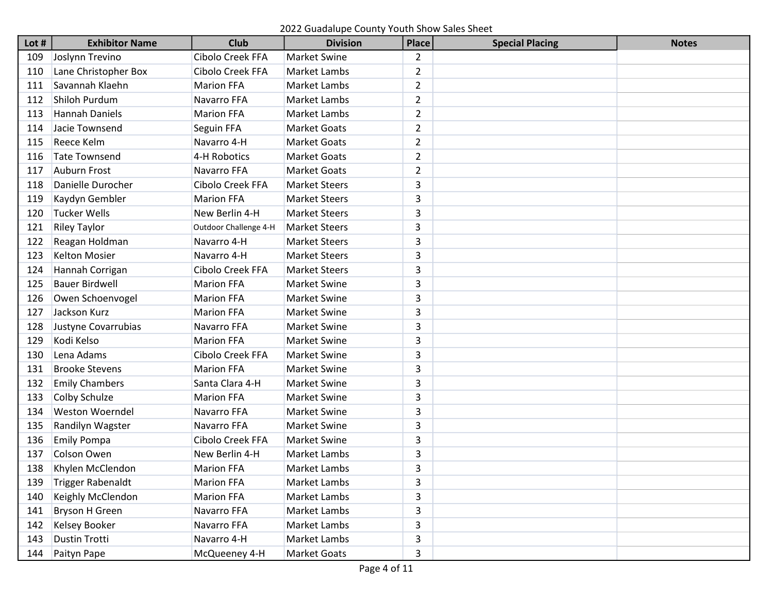2022 Guadalupe County Youth Show Sales Sheet

| Lot# | <b>Exhibitor Name</b>    | <b>Club</b>           | <b>Division</b>      | <b>Place</b>   | <b>Special Placing</b> | <b>Notes</b> |
|------|--------------------------|-----------------------|----------------------|----------------|------------------------|--------------|
| 109  | Joslynn Trevino          | Cibolo Creek FFA      | <b>Market Swine</b>  | $\overline{2}$ |                        |              |
| 110  | Lane Christopher Box     | Cibolo Creek FFA      | Market Lambs         | $\overline{2}$ |                        |              |
| 111  | Savannah Klaehn          | <b>Marion FFA</b>     | Market Lambs         | $\overline{2}$ |                        |              |
| 112  | Shiloh Purdum            | Navarro FFA           | Market Lambs         | $\overline{2}$ |                        |              |
| 113  | <b>Hannah Daniels</b>    | <b>Marion FFA</b>     | Market Lambs         | $\overline{2}$ |                        |              |
| 114  | Jacie Townsend           | Seguin FFA            | <b>Market Goats</b>  | $\overline{2}$ |                        |              |
| 115  | Reece Kelm               | Navarro 4-H           | <b>Market Goats</b>  | $\overline{2}$ |                        |              |
| 116  | <b>Tate Townsend</b>     | 4-H Robotics          | <b>Market Goats</b>  | $\overline{2}$ |                        |              |
| 117  | <b>Auburn Frost</b>      | Navarro FFA           | <b>Market Goats</b>  | $\overline{2}$ |                        |              |
| 118  | Danielle Durocher        | Cibolo Creek FFA      | <b>Market Steers</b> | 3              |                        |              |
| 119  | Kaydyn Gembler           | <b>Marion FFA</b>     | <b>Market Steers</b> | 3              |                        |              |
| 120  | <b>Tucker Wells</b>      | New Berlin 4-H        | <b>Market Steers</b> | 3              |                        |              |
| 121  | <b>Riley Taylor</b>      | Outdoor Challenge 4-H | <b>Market Steers</b> | 3              |                        |              |
| 122  | Reagan Holdman           | Navarro 4-H           | <b>Market Steers</b> | 3              |                        |              |
| 123  | <b>Kelton Mosier</b>     | Navarro 4-H           | <b>Market Steers</b> | 3              |                        |              |
| 124  | Hannah Corrigan          | Cibolo Creek FFA      | <b>Market Steers</b> | 3              |                        |              |
| 125  | <b>Bauer Birdwell</b>    | <b>Marion FFA</b>     | <b>Market Swine</b>  | 3              |                        |              |
| 126  | Owen Schoenvogel         | <b>Marion FFA</b>     | <b>Market Swine</b>  | 3              |                        |              |
| 127  | Jackson Kurz             | <b>Marion FFA</b>     | <b>Market Swine</b>  | 3              |                        |              |
| 128  | Justyne Covarrubias      | Navarro FFA           | <b>Market Swine</b>  | 3              |                        |              |
| 129  | Kodi Kelso               | <b>Marion FFA</b>     | <b>Market Swine</b>  | 3              |                        |              |
| 130  | Lena Adams               | Cibolo Creek FFA      | <b>Market Swine</b>  | 3              |                        |              |
| 131  | <b>Brooke Stevens</b>    | <b>Marion FFA</b>     | <b>Market Swine</b>  | 3              |                        |              |
| 132  | <b>Emily Chambers</b>    | Santa Clara 4-H       | <b>Market Swine</b>  | 3              |                        |              |
| 133  | Colby Schulze            | <b>Marion FFA</b>     | <b>Market Swine</b>  | 3              |                        |              |
| 134  | <b>Weston Woerndel</b>   | Navarro FFA           | Market Swine         | 3              |                        |              |
| 135  | Randilyn Wagster         | Navarro FFA           | <b>Market Swine</b>  | 3              |                        |              |
| 136  | <b>Emily Pompa</b>       | Cibolo Creek FFA      | <b>Market Swine</b>  | 3              |                        |              |
| 137  | Colson Owen              | New Berlin 4-H        | Market Lambs         | 3              |                        |              |
| 138  | Khylen McClendon         | <b>Marion FFA</b>     | Market Lambs         | 3              |                        |              |
| 139  | <b>Trigger Rabenaldt</b> | <b>Marion FFA</b>     | Market Lambs         | 3              |                        |              |
| 140  | Keighly McClendon        | <b>Marion FFA</b>     | Market Lambs         | 3              |                        |              |
| 141  | Bryson H Green           | Navarro FFA           | Market Lambs         | 3              |                        |              |
| 142  | <b>Kelsey Booker</b>     | Navarro FFA           | Market Lambs         | 3              |                        |              |
| 143  | <b>Dustin Trotti</b>     | Navarro 4-H           | Market Lambs         | 3              |                        |              |
| 144  | Paityn Pape              | McQueeney 4-H         | Market Goats         | 3              |                        |              |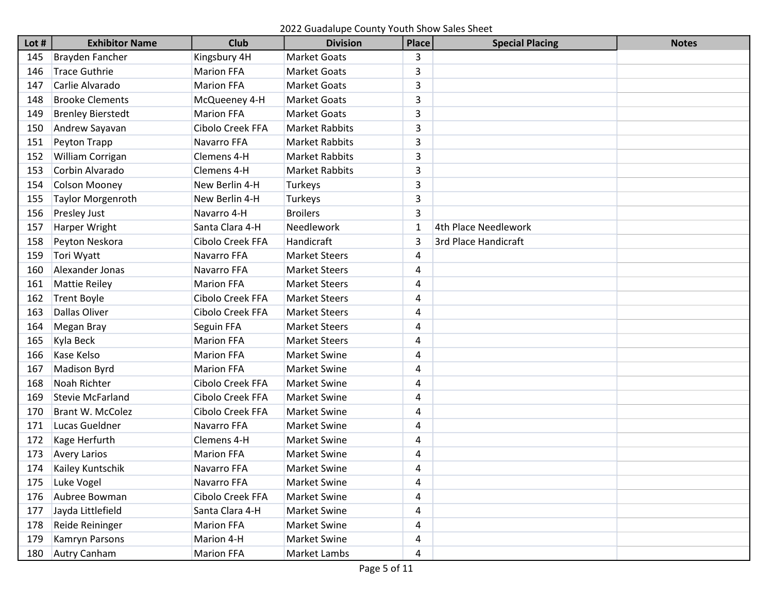2022 Guadalupe County Youth Show Sales Sheet

| Lot $#$ | <b>Exhibitor Name</b>    | <b>Club</b>       | <b>Division</b>       | <b>Place</b> | <b>Special Placing</b> | <b>Notes</b> |
|---------|--------------------------|-------------------|-----------------------|--------------|------------------------|--------------|
| 145     | Brayden Fancher          | Kingsbury 4H      | <b>Market Goats</b>   | 3            |                        |              |
| 146     | <b>Trace Guthrie</b>     | <b>Marion FFA</b> | <b>Market Goats</b>   | 3            |                        |              |
| 147     | Carlie Alvarado          | <b>Marion FFA</b> | <b>Market Goats</b>   | 3            |                        |              |
| 148     | <b>Brooke Clements</b>   | McQueeney 4-H     | <b>Market Goats</b>   | 3            |                        |              |
| 149     | <b>Brenley Bierstedt</b> | <b>Marion FFA</b> | <b>Market Goats</b>   | 3            |                        |              |
| 150     | Andrew Sayavan           | Cibolo Creek FFA  | <b>Market Rabbits</b> | 3            |                        |              |
| 151     | Peyton Trapp             | Navarro FFA       | <b>Market Rabbits</b> | 3            |                        |              |
| 152     | William Corrigan         | Clemens 4-H       | <b>Market Rabbits</b> | 3            |                        |              |
| 153     | Corbin Alvarado          | Clemens 4-H       | <b>Market Rabbits</b> | 3            |                        |              |
| 154     | <b>Colson Mooney</b>     | New Berlin 4-H    | Turkeys               | 3            |                        |              |
| 155     | <b>Taylor Morgenroth</b> | New Berlin 4-H    | Turkeys               | 3            |                        |              |
| 156     | <b>Presley Just</b>      | Navarro 4-H       | <b>Broilers</b>       | 3            |                        |              |
| 157     | Harper Wright            | Santa Clara 4-H   | Needlework            | $\mathbf{1}$ | 4th Place Needlework   |              |
| 158     | Peyton Neskora           | Cibolo Creek FFA  | Handicraft            | 3            | 3rd Place Handicraft   |              |
| 159     | Tori Wyatt               | Navarro FFA       | <b>Market Steers</b>  | 4            |                        |              |
| 160     | Alexander Jonas          | Navarro FFA       | <b>Market Steers</b>  | 4            |                        |              |
| 161     | <b>Mattie Reiley</b>     | <b>Marion FFA</b> | <b>Market Steers</b>  | 4            |                        |              |
| 162     | <b>Trent Boyle</b>       | Cibolo Creek FFA  | <b>Market Steers</b>  | 4            |                        |              |
| 163     | Dallas Oliver            | Cibolo Creek FFA  | <b>Market Steers</b>  | 4            |                        |              |
| 164     | <b>Megan Bray</b>        | Seguin FFA        | <b>Market Steers</b>  | 4            |                        |              |
| 165     | Kyla Beck                | <b>Marion FFA</b> | <b>Market Steers</b>  | 4            |                        |              |
| 166     | Kase Kelso               | <b>Marion FFA</b> | <b>Market Swine</b>   | 4            |                        |              |
| 167     | <b>Madison Byrd</b>      | <b>Marion FFA</b> | <b>Market Swine</b>   | 4            |                        |              |
| 168     | Noah Richter             | Cibolo Creek FFA  | <b>Market Swine</b>   | 4            |                        |              |
| 169     | <b>Stevie McFarland</b>  | Cibolo Creek FFA  | <b>Market Swine</b>   | 4            |                        |              |
| 170     | <b>Brant W. McColez</b>  | Cibolo Creek FFA  | Market Swine          | 4            |                        |              |
| 171     | Lucas Gueldner           | Navarro FFA       | <b>Market Swine</b>   | 4            |                        |              |
| 172     | Kage Herfurth            | Clemens 4-H       | <b>Market Swine</b>   | 4            |                        |              |
| 173     | <b>Avery Larios</b>      | <b>Marion FFA</b> | Market Swine          | 4            |                        |              |
| 174     | Kailey Kuntschik         | Navarro FFA       | <b>Market Swine</b>   | 4            |                        |              |
| 175     | Luke Vogel               | Navarro FFA       | <b>Market Swine</b>   | 4            |                        |              |
| 176     | Aubree Bowman            | Cibolo Creek FFA  | <b>Market Swine</b>   | 4            |                        |              |
| 177     | Jayda Littlefield        | Santa Clara 4-H   | Market Swine          | 4            |                        |              |
| 178     | Reide Reininger          | <b>Marion FFA</b> | Market Swine          | 4            |                        |              |
| 179     | Kamryn Parsons           | Marion 4-H        | Market Swine          | 4            |                        |              |
| 180     | <b>Autry Canham</b>      | <b>Marion FFA</b> | Market Lambs          | 4            |                        |              |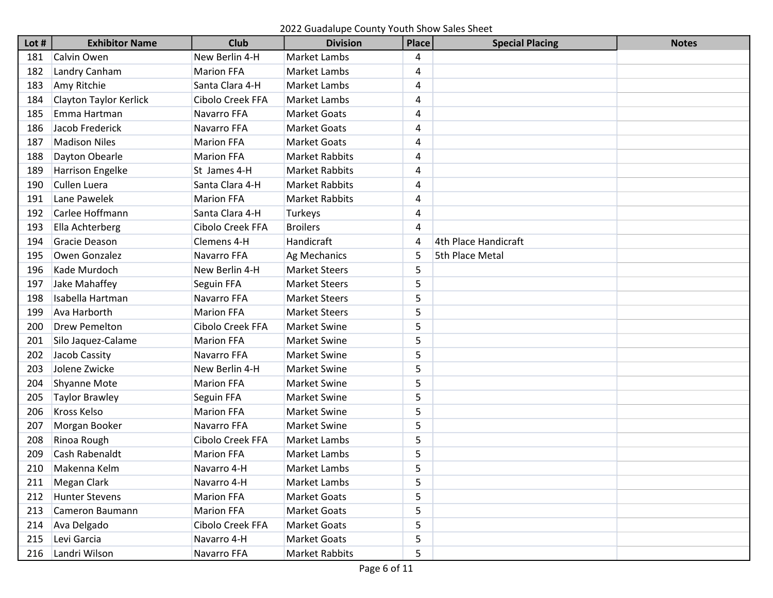2022 Guadalupe County Youth Show Sales Sheet

| Lot $#$ | <b>Exhibitor Name</b>   | <b>Club</b>       | <b>Division</b>       | <b>Place</b>   | <b>Special Placing</b> | <b>Notes</b> |
|---------|-------------------------|-------------------|-----------------------|----------------|------------------------|--------------|
| 181     | Calvin Owen             | New Berlin 4-H    | Market Lambs          | 4              |                        |              |
| 182     | Landry Canham           | <b>Marion FFA</b> | Market Lambs          | 4              |                        |              |
| 183     | Amy Ritchie             | Santa Clara 4-H   | Market Lambs          | 4              |                        |              |
| 184     | Clayton Taylor Kerlick  | Cibolo Creek FFA  | <b>Market Lambs</b>   | 4              |                        |              |
| 185     | Emma Hartman            | Navarro FFA       | <b>Market Goats</b>   | 4              |                        |              |
| 186     | Jacob Frederick         | Navarro FFA       | <b>Market Goats</b>   | 4              |                        |              |
| 187     | <b>Madison Niles</b>    | <b>Marion FFA</b> | <b>Market Goats</b>   | 4              |                        |              |
| 188     | Dayton Obearle          | <b>Marion FFA</b> | <b>Market Rabbits</b> | 4              |                        |              |
| 189     | <b>Harrison Engelke</b> | St James 4-H      | <b>Market Rabbits</b> | 4              |                        |              |
| 190     | <b>Cullen Luera</b>     | Santa Clara 4-H   | <b>Market Rabbits</b> | 4              |                        |              |
| 191     | Lane Pawelek            | <b>Marion FFA</b> | <b>Market Rabbits</b> | 4              |                        |              |
| 192     | Carlee Hoffmann         | Santa Clara 4-H   | Turkeys               | 4              |                        |              |
| 193     | Ella Achterberg         | Cibolo Creek FFA  | <b>Broilers</b>       | $\overline{4}$ |                        |              |
| 194     | Gracie Deason           | Clemens 4-H       | Handicraft            | $\overline{4}$ | 4th Place Handicraft   |              |
| 195     | Owen Gonzalez           | Navarro FFA       | Ag Mechanics          | 5              | <b>5th Place Metal</b> |              |
| 196     | Kade Murdoch            | New Berlin 4-H    | <b>Market Steers</b>  | 5              |                        |              |
| 197     | Jake Mahaffey           | Seguin FFA        | <b>Market Steers</b>  | 5              |                        |              |
| 198     | Isabella Hartman        | Navarro FFA       | <b>Market Steers</b>  | 5              |                        |              |
| 199     | Ava Harborth            | <b>Marion FFA</b> | <b>Market Steers</b>  | 5              |                        |              |
| 200     | <b>Drew Pemelton</b>    | Cibolo Creek FFA  | <b>Market Swine</b>   | 5              |                        |              |
| 201     | Silo Jaquez-Calame      | <b>Marion FFA</b> | <b>Market Swine</b>   | 5              |                        |              |
| 202     | Jacob Cassity           | Navarro FFA       | <b>Market Swine</b>   | 5              |                        |              |
| 203     | Jolene Zwicke           | New Berlin 4-H    | <b>Market Swine</b>   | 5              |                        |              |
| 204     | <b>Shyanne Mote</b>     | <b>Marion FFA</b> | <b>Market Swine</b>   | 5              |                        |              |
| 205     | <b>Taylor Brawley</b>   | Seguin FFA        | <b>Market Swine</b>   | 5              |                        |              |
| 206     | Kross Kelso             | <b>Marion FFA</b> | Market Swine          | 5              |                        |              |
| 207     | Morgan Booker           | Navarro FFA       | <b>Market Swine</b>   | 5              |                        |              |
| 208     | Rinoa Rough             | Cibolo Creek FFA  | <b>Market Lambs</b>   | 5              |                        |              |
| 209     | Cash Rabenaldt          | <b>Marion FFA</b> | Market Lambs          | 5              |                        |              |
| 210     | Makenna Kelm            | Navarro 4-H       | Market Lambs          | 5              |                        |              |
| 211     | Megan Clark             | Navarro 4-H       | Market Lambs          | 5              |                        |              |
| 212     | <b>Hunter Stevens</b>   | <b>Marion FFA</b> | Market Goats          | 5              |                        |              |
| 213     | Cameron Baumann         | <b>Marion FFA</b> | Market Goats          | 5              |                        |              |
| 214     | Ava Delgado             | Cibolo Creek FFA  | Market Goats          | 5              |                        |              |
| 215     | Levi Garcia             | Navarro 4-H       | <b>Market Goats</b>   | 5              |                        |              |
| 216     | Landri Wilson           | Navarro FFA       | Market Rabbits        | 5              |                        |              |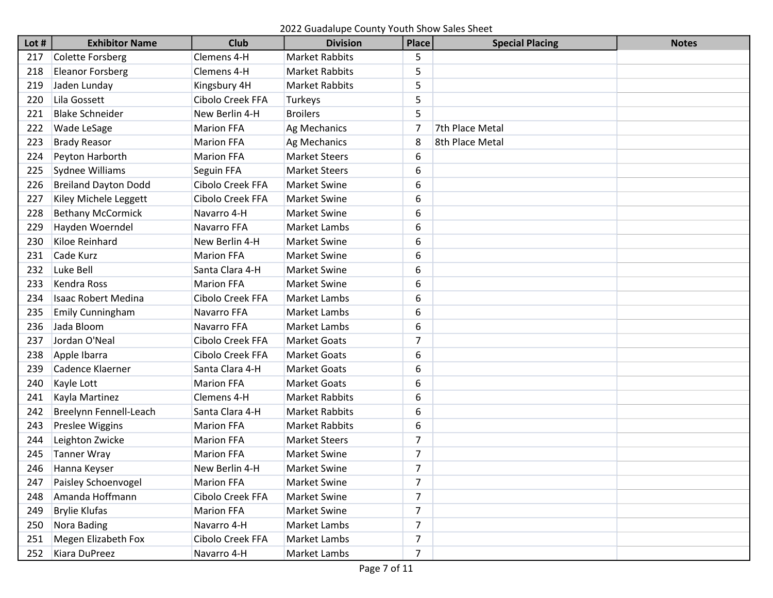2022 Guadalupe County Youth Show Sales Sheet

| Lot# | <b>Exhibitor Name</b>       | <b>Club</b>        | <b>Division</b>       | <b>Place</b>   | <b>Special Placing</b> | <b>Notes</b> |
|------|-----------------------------|--------------------|-----------------------|----------------|------------------------|--------------|
| 217  | <b>Colette Forsberg</b>     | Clemens 4-H        | <b>Market Rabbits</b> | 5              |                        |              |
| 218  | <b>Eleanor Forsberg</b>     | Clemens 4-H        | <b>Market Rabbits</b> | 5              |                        |              |
| 219  | Jaden Lunday                | Kingsbury 4H       | <b>Market Rabbits</b> | 5              |                        |              |
| 220  | Lila Gossett                | Cibolo Creek FFA   | <b>Turkeys</b>        | 5              |                        |              |
| 221  | <b>Blake Schneider</b>      | New Berlin 4-H     | <b>Broilers</b>       | 5              |                        |              |
| 222  | <b>Wade LeSage</b>          | <b>Marion FFA</b>  | Ag Mechanics          | 7              | 7th Place Metal        |              |
| 223  | <b>Brady Reasor</b>         | <b>Marion FFA</b>  | Ag Mechanics          | 8              | 8th Place Metal        |              |
| 224  | Peyton Harborth             | <b>Marion FFA</b>  | <b>Market Steers</b>  | 6              |                        |              |
| 225  | Sydnee Williams             | Seguin FFA         | <b>Market Steers</b>  | 6              |                        |              |
| 226  | <b>Breiland Dayton Dodd</b> | Cibolo Creek FFA   | <b>Market Swine</b>   | 6              |                        |              |
| 227  | Kiley Michele Leggett       | Cibolo Creek FFA   | <b>Market Swine</b>   | 6              |                        |              |
| 228  | <b>Bethany McCormick</b>    | Navarro 4-H        | Market Swine          | 6              |                        |              |
| 229  | Hayden Woerndel             | <b>Navarro FFA</b> | Market Lambs          | 6              |                        |              |
| 230  | <b>Kiloe Reinhard</b>       | New Berlin 4-H     | <b>Market Swine</b>   | 6              |                        |              |
| 231  | Cade Kurz                   | <b>Marion FFA</b>  | <b>Market Swine</b>   | 6              |                        |              |
| 232  | Luke Bell                   | Santa Clara 4-H    | <b>Market Swine</b>   | 6              |                        |              |
| 233  | <b>Kendra Ross</b>          | <b>Marion FFA</b>  | <b>Market Swine</b>   | 6              |                        |              |
| 234  | <b>Isaac Robert Medina</b>  | Cibolo Creek FFA   | Market Lambs          | 6              |                        |              |
| 235  | Emily Cunningham            | Navarro FFA        | Market Lambs          | 6              |                        |              |
| 236  | Jada Bloom                  | Navarro FFA        | Market Lambs          | 6              |                        |              |
| 237  | Jordan O'Neal               | Cibolo Creek FFA   | <b>Market Goats</b>   | 7              |                        |              |
| 238  | Apple Ibarra                | Cibolo Creek FFA   | <b>Market Goats</b>   | 6              |                        |              |
| 239  | Cadence Klaerner            | Santa Clara 4-H    | <b>Market Goats</b>   | 6              |                        |              |
| 240  | Kayle Lott                  | <b>Marion FFA</b>  | <b>Market Goats</b>   | 6              |                        |              |
| 241  | Kayla Martinez              | Clemens 4-H        | <b>Market Rabbits</b> | 6              |                        |              |
| 242  | Breelynn Fennell-Leach      | Santa Clara 4-H    | <b>Market Rabbits</b> | 6              |                        |              |
| 243  | <b>Preslee Wiggins</b>      | <b>Marion FFA</b>  | <b>Market Rabbits</b> | 6              |                        |              |
| 244  | Leighton Zwicke             | <b>Marion FFA</b>  | <b>Market Steers</b>  | 7              |                        |              |
| 245  | <b>Tanner Wray</b>          | <b>Marion FFA</b>  | Market Swine          | $\overline{7}$ |                        |              |
| 246  | Hanna Keyser                | New Berlin 4-H     | <b>Market Swine</b>   | 7              |                        |              |
| 247  | Paisley Schoenvogel         | <b>Marion FFA</b>  | Market Swine          | 7              |                        |              |
| 248  | Amanda Hoffmann             | Cibolo Creek FFA   | Market Swine          | $\overline{7}$ |                        |              |
| 249  | <b>Brylie Klufas</b>        | <b>Marion FFA</b>  | Market Swine          | $\overline{7}$ |                        |              |
| 250  | Nora Bading                 | Navarro 4-H        | Market Lambs          | $\overline{7}$ |                        |              |
| 251  | <b>Megen Elizabeth Fox</b>  | Cibolo Creek FFA   | Market Lambs          | $\overline{7}$ |                        |              |
| 252  | Kiara DuPreez               | Navarro 4-H        | Market Lambs          | $\overline{7}$ |                        |              |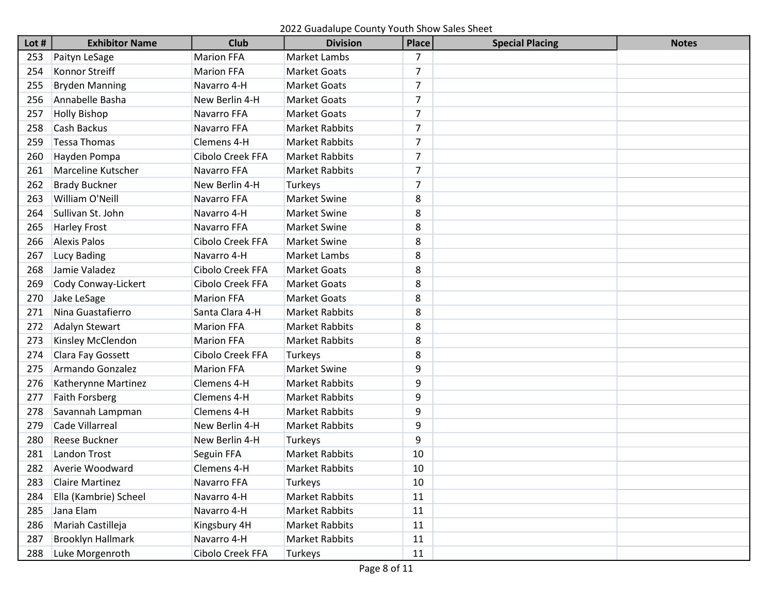2022 Guadalupe County Youth Show Sales Sheet

| Lot $#$ | <b>Exhibitor Name</b>     | <b>Club</b>       | <b>Division</b>       | <b>Place</b>   | <b>Special Placing</b> | <b>Notes</b> |
|---------|---------------------------|-------------------|-----------------------|----------------|------------------------|--------------|
| 253     | Paityn LeSage             | <b>Marion FFA</b> | Market Lambs          | 7              |                        |              |
| 254     | Konnor Streiff            | <b>Marion FFA</b> | <b>Market Goats</b>   | 7              |                        |              |
| 255     | <b>Bryden Manning</b>     | Navarro 4-H       | <b>Market Goats</b>   | $\overline{7}$ |                        |              |
| 256     | Annabelle Basha           | New Berlin 4-H    | <b>Market Goats</b>   | $\overline{7}$ |                        |              |
| 257     | <b>Holly Bishop</b>       | Navarro FFA       | <b>Market Goats</b>   | $\overline{7}$ |                        |              |
| 258     | Cash Backus               | Navarro FFA       | <b>Market Rabbits</b> | $\overline{7}$ |                        |              |
| 259     | <b>Tessa Thomas</b>       | Clemens 4-H       | <b>Market Rabbits</b> | 7              |                        |              |
| 260     | Hayden Pompa              | Cibolo Creek FFA  | <b>Market Rabbits</b> | 7              |                        |              |
| 261     | <b>Marceline Kutscher</b> | Navarro FFA       | <b>Market Rabbits</b> | $\overline{7}$ |                        |              |
| 262     | <b>Brady Buckner</b>      | New Berlin 4-H    | Turkeys               | $\overline{7}$ |                        |              |
| 263     | William O'Neill           | Navarro FFA       | <b>Market Swine</b>   | 8              |                        |              |
| 264     | Sullivan St. John         | Navarro 4-H       | <b>Market Swine</b>   | 8              |                        |              |
| 265     | <b>Harley Frost</b>       | Navarro FFA       | <b>Market Swine</b>   | 8              |                        |              |
| 266     | <b>Alexis Palos</b>       | Cibolo Creek FFA  | <b>Market Swine</b>   | 8              |                        |              |
| 267     | <b>Lucy Bading</b>        | Navarro 4-H       | <b>Market Lambs</b>   | 8              |                        |              |
| 268     | Jamie Valadez             | Cibolo Creek FFA  | <b>Market Goats</b>   | 8              |                        |              |
| 269     | Cody Conway-Lickert       | Cibolo Creek FFA  | <b>Market Goats</b>   | 8              |                        |              |
| 270     | Jake LeSage               | <b>Marion FFA</b> | <b>Market Goats</b>   | 8              |                        |              |
| 271     | Nina Guastafierro         | Santa Clara 4-H   | <b>Market Rabbits</b> | 8              |                        |              |
| 272     | Adalyn Stewart            | <b>Marion FFA</b> | <b>Market Rabbits</b> | 8              |                        |              |
| 273     | Kinsley McClendon         | <b>Marion FFA</b> | <b>Market Rabbits</b> | 8              |                        |              |
| 274     | Clara Fay Gossett         | Cibolo Creek FFA  | Turkeys               | 8              |                        |              |
| 275     | Armando Gonzalez          | <b>Marion FFA</b> | <b>Market Swine</b>   | 9              |                        |              |
| 276     | Katherynne Martinez       | Clemens 4-H       | <b>Market Rabbits</b> | 9              |                        |              |
| 277     | <b>Faith Forsberg</b>     | Clemens 4-H       | <b>Market Rabbits</b> | 9              |                        |              |
| 278     | Savannah Lampman          | Clemens 4-H       | <b>Market Rabbits</b> | 9              |                        |              |
| 279     | Cade Villarreal           | New Berlin 4-H    | <b>Market Rabbits</b> | 9              |                        |              |
| 280     | Reese Buckner             | New Berlin 4-H    | Turkeys               | 9              |                        |              |
| 281     | <b>Landon Trost</b>       | Seguin FFA        | <b>Market Rabbits</b> | 10             |                        |              |
| 282     | Averie Woodward           | Clemens 4-H       | <b>Market Rabbits</b> | 10             |                        |              |
| 283     | <b>Claire Martinez</b>    | Navarro FFA       | Turkeys               | 10             |                        |              |
| 284     | Ella (Kambrie) Scheel     | Navarro 4-H       | <b>Market Rabbits</b> | 11             |                        |              |
| 285     | Jana Elam                 | Navarro 4-H       | <b>Market Rabbits</b> | 11             |                        |              |
| 286     | Mariah Castilleja         | Kingsbury 4H      | <b>Market Rabbits</b> | 11             |                        |              |
| 287     | <b>Brooklyn Hallmark</b>  | Navarro 4-H       | <b>Market Rabbits</b> | 11             |                        |              |
| 288     | Luke Morgenroth           | Cibolo Creek FFA  | Turkeys               | 11             |                        |              |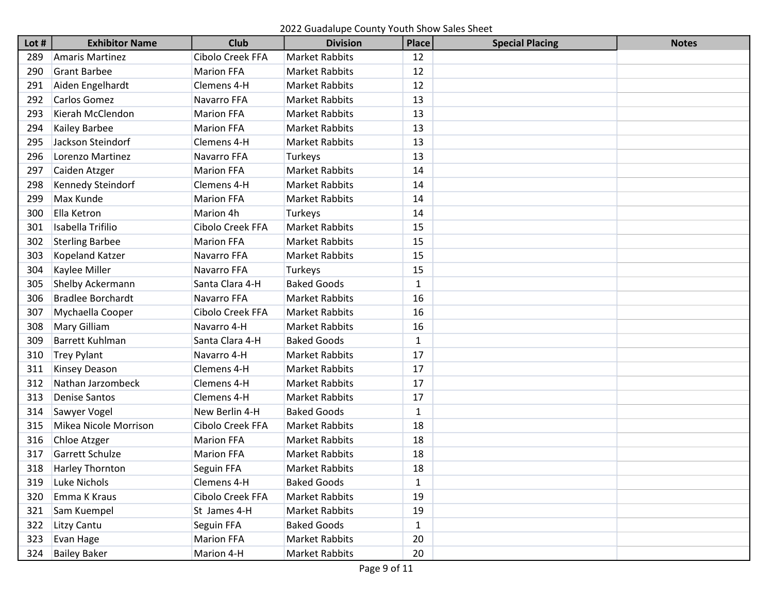| Lot # | <b>Exhibitor Name</b>    | <b>Club</b>       | <b>Division</b>       | <b>Place</b> | <b>Special Placing</b> | <b>Notes</b> |
|-------|--------------------------|-------------------|-----------------------|--------------|------------------------|--------------|
| 289   | <b>Amaris Martinez</b>   | Cibolo Creek FFA  | <b>Market Rabbits</b> | 12           |                        |              |
| 290   | <b>Grant Barbee</b>      | <b>Marion FFA</b> | <b>Market Rabbits</b> | 12           |                        |              |
| 291   | Aiden Engelhardt         | Clemens 4-H       | <b>Market Rabbits</b> | 12           |                        |              |
| 292   | Carlos Gomez             | Navarro FFA       | <b>Market Rabbits</b> | 13           |                        |              |
| 293   | Kierah McClendon         | <b>Marion FFA</b> | <b>Market Rabbits</b> | 13           |                        |              |
| 294   | Kailey Barbee            | <b>Marion FFA</b> | <b>Market Rabbits</b> | 13           |                        |              |
| 295   | Jackson Steindorf        | Clemens 4-H       | <b>Market Rabbits</b> | 13           |                        |              |
| 296   | Lorenzo Martinez         | Navarro FFA       | Turkeys               | 13           |                        |              |
| 297   | Caiden Atzger            | <b>Marion FFA</b> | <b>Market Rabbits</b> | 14           |                        |              |
| 298   | Kennedy Steindorf        | Clemens 4-H       | <b>Market Rabbits</b> | 14           |                        |              |
| 299   | Max Kunde                | <b>Marion FFA</b> | <b>Market Rabbits</b> | 14           |                        |              |
| 300   | Ella Ketron              | Marion 4h         | Turkeys               | 14           |                        |              |
| 301   | Isabella Trifilio        | Cibolo Creek FFA  | <b>Market Rabbits</b> | 15           |                        |              |
| 302   | <b>Sterling Barbee</b>   | <b>Marion FFA</b> | <b>Market Rabbits</b> | 15           |                        |              |
| 303   | Kopeland Katzer          | Navarro FFA       | <b>Market Rabbits</b> | 15           |                        |              |
| 304   | Kaylee Miller            | Navarro FFA       | Turkeys               | 15           |                        |              |
| 305   | Shelby Ackermann         | Santa Clara 4-H   | <b>Baked Goods</b>    | 1            |                        |              |
| 306   | <b>Bradlee Borchardt</b> | Navarro FFA       | <b>Market Rabbits</b> | 16           |                        |              |
| 307   | Mychaella Cooper         | Cibolo Creek FFA  | <b>Market Rabbits</b> | 16           |                        |              |
| 308   | <b>Mary Gilliam</b>      | Navarro 4-H       | <b>Market Rabbits</b> | 16           |                        |              |
| 309   | <b>Barrett Kuhlman</b>   | Santa Clara 4-H   | <b>Baked Goods</b>    | $\mathbf{1}$ |                        |              |
| 310   | <b>Trey Pylant</b>       | Navarro 4-H       | <b>Market Rabbits</b> | 17           |                        |              |
| 311   | Kinsey Deason            | Clemens 4-H       | <b>Market Rabbits</b> | 17           |                        |              |
| 312   | Nathan Jarzombeck        | Clemens 4-H       | <b>Market Rabbits</b> | 17           |                        |              |
| 313   | <b>Denise Santos</b>     | Clemens 4-H       | <b>Market Rabbits</b> | 17           |                        |              |
| 314   | Sawyer Vogel             | New Berlin 4-H    | <b>Baked Goods</b>    | $\mathbf{1}$ |                        |              |
| 315   | Mikea Nicole Morrison    | Cibolo Creek FFA  | <b>Market Rabbits</b> | 18           |                        |              |
| 316   | Chloe Atzger             | <b>Marion FFA</b> | Market Rabbits        | 18           |                        |              |
| 317   | <b>Garrett Schulze</b>   | <b>Marion FFA</b> | <b>Market Rabbits</b> | 18           |                        |              |
| 318   | Harley Thornton          | Seguin FFA        | Market Rabbits        | 18           |                        |              |
| 319   | Luke Nichols             | Clemens 4-H       | <b>Baked Goods</b>    | $\mathbf{1}$ |                        |              |
| 320   | Emma K Kraus             | Cibolo Creek FFA  | <b>Market Rabbits</b> | 19           |                        |              |
| 321   | Sam Kuempel              | St James 4-H      | Market Rabbits        | 19           |                        |              |
| 322   | <b>Litzy Cantu</b>       | Seguin FFA        | <b>Baked Goods</b>    | $\mathbf{1}$ |                        |              |
| 323   | Evan Hage                | <b>Marion FFA</b> | Market Rabbits        | 20           |                        |              |
| 324   | <b>Bailey Baker</b>      | Marion 4-H        | <b>Market Rabbits</b> | 20           |                        |              |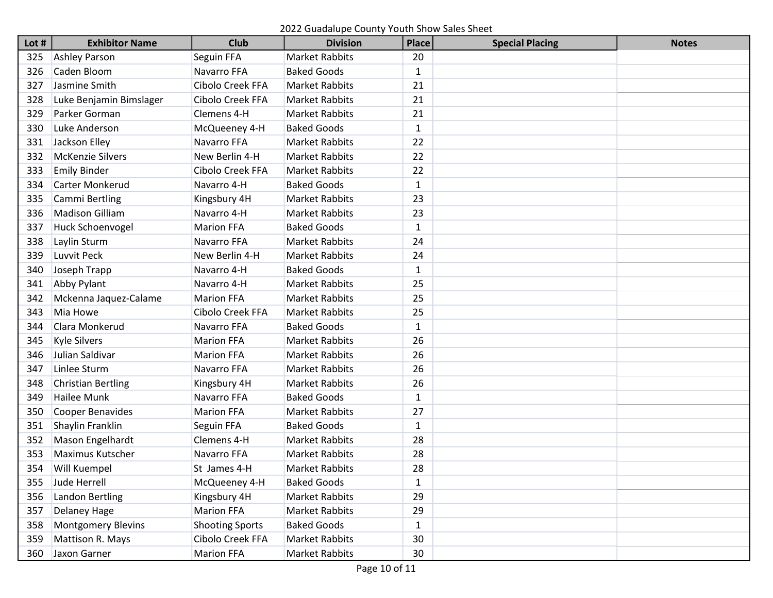2022 Guadalupe County Youth Show Sales Sheet

| Lot $#$ | <b>Exhibitor Name</b>     | <b>Club</b>            | <b>Division</b>       | <b>Place</b> | <b>Special Placing</b> | <b>Notes</b> |
|---------|---------------------------|------------------------|-----------------------|--------------|------------------------|--------------|
| 325     | <b>Ashley Parson</b>      | Seguin FFA             | <b>Market Rabbits</b> | 20           |                        |              |
| 326     | Caden Bloom               | Navarro FFA            | <b>Baked Goods</b>    | 1            |                        |              |
| 327     | Jasmine Smith             | Cibolo Creek FFA       | <b>Market Rabbits</b> | 21           |                        |              |
| 328     | Luke Benjamin Bimslager   | Cibolo Creek FFA       | <b>Market Rabbits</b> | 21           |                        |              |
| 329     | Parker Gorman             | Clemens 4-H            | <b>Market Rabbits</b> | 21           |                        |              |
| 330     | Luke Anderson             | McQueeney 4-H          | <b>Baked Goods</b>    | $\mathbf{1}$ |                        |              |
| 331     | Jackson Elley             | Navarro FFA            | <b>Market Rabbits</b> | 22           |                        |              |
| 332     | <b>McKenzie Silvers</b>   | New Berlin 4-H         | <b>Market Rabbits</b> | 22           |                        |              |
| 333     | <b>Emily Binder</b>       | Cibolo Creek FFA       | <b>Market Rabbits</b> | 22           |                        |              |
| 334     | <b>Carter Monkerud</b>    | Navarro 4-H            | <b>Baked Goods</b>    | 1            |                        |              |
| 335     | Cammi Bertling            | Kingsbury 4H           | <b>Market Rabbits</b> | 23           |                        |              |
| 336     | <b>Madison Gilliam</b>    | Navarro 4-H            | <b>Market Rabbits</b> | 23           |                        |              |
| 337     | <b>Huck Schoenvogel</b>   | <b>Marion FFA</b>      | <b>Baked Goods</b>    | $\mathbf{1}$ |                        |              |
| 338     | Laylin Sturm              | Navarro FFA            | <b>Market Rabbits</b> | 24           |                        |              |
| 339     | Luvvit Peck               | New Berlin 4-H         | <b>Market Rabbits</b> | 24           |                        |              |
| 340     | Joseph Trapp              | Navarro 4-H            | <b>Baked Goods</b>    | 1            |                        |              |
| 341     | Abby Pylant               | Navarro 4-H            | <b>Market Rabbits</b> | 25           |                        |              |
| 342     | Mckenna Jaquez-Calame     | <b>Marion FFA</b>      | <b>Market Rabbits</b> | 25           |                        |              |
| 343     | Mia Howe                  | Cibolo Creek FFA       | <b>Market Rabbits</b> | 25           |                        |              |
| 344     | Clara Monkerud            | Navarro FFA            | <b>Baked Goods</b>    | $\mathbf{1}$ |                        |              |
| 345     | <b>Kyle Silvers</b>       | <b>Marion FFA</b>      | <b>Market Rabbits</b> | 26           |                        |              |
| 346     | Julian Saldivar           | <b>Marion FFA</b>      | <b>Market Rabbits</b> | 26           |                        |              |
| 347     | Linlee Sturm              | Navarro FFA            | <b>Market Rabbits</b> | 26           |                        |              |
| 348     | <b>Christian Bertling</b> | Kingsbury 4H           | <b>Market Rabbits</b> | 26           |                        |              |
| 349     | <b>Hailee Munk</b>        | Navarro FFA            | <b>Baked Goods</b>    | $\mathbf{1}$ |                        |              |
| 350     | Cooper Benavides          | <b>Marion FFA</b>      | <b>Market Rabbits</b> | 27           |                        |              |
| 351     | Shaylin Franklin          | Seguin FFA             | <b>Baked Goods</b>    | 1            |                        |              |
| 352     | Mason Engelhardt          | Clemens 4-H            | <b>Market Rabbits</b> | 28           |                        |              |
| 353     | <b>Maximus Kutscher</b>   | Navarro FFA            | <b>Market Rabbits</b> | 28           |                        |              |
| 354     | Will Kuempel              | St James 4-H           | <b>Market Rabbits</b> | 28           |                        |              |
| 355     | Jude Herrell              | McQueeney 4-H          | <b>Baked Goods</b>    | $\mathbf 1$  |                        |              |
| 356     | Landon Bertling           | Kingsbury 4H           | <b>Market Rabbits</b> | 29           |                        |              |
| 357     | <b>Delaney Hage</b>       | Marion FFA             | <b>Market Rabbits</b> | 29           |                        |              |
| 358     | <b>Montgomery Blevins</b> | <b>Shooting Sports</b> | <b>Baked Goods</b>    | $\mathbf{1}$ |                        |              |
| 359     | Mattison R. Mays          | Cibolo Creek FFA       | <b>Market Rabbits</b> | 30           |                        |              |
| 360     | Jaxon Garner              | <b>Marion FFA</b>      | Market Rabbits        | 30           |                        |              |